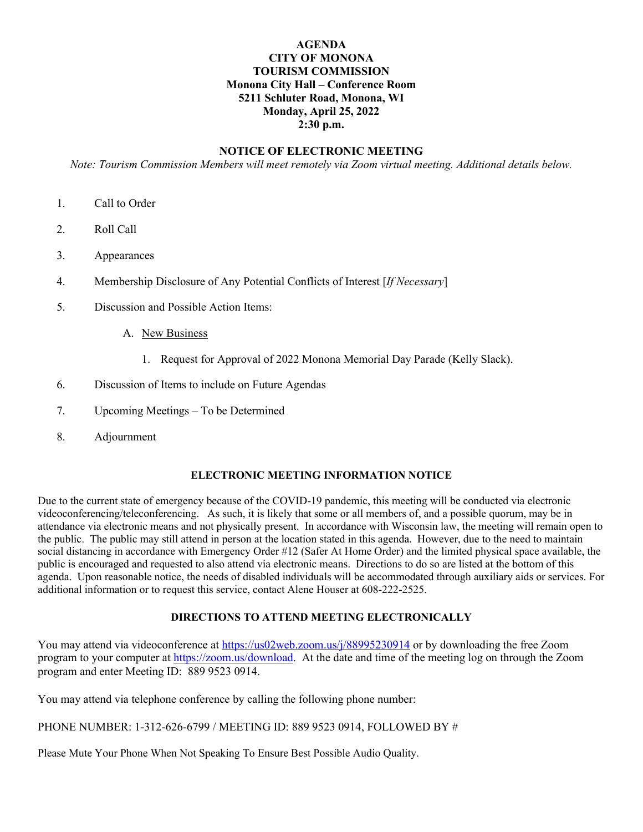## **AGENDA CITY OF MONONA TOURISM COMMISSION Monona City Hall – Conference Room 5211 Schluter Road, Monona, WI Monday, April 25, 2022 2:30 p.m.**

## **NOTICE OF ELECTRONIC MEETING**

*Note: Tourism Commission Members will meet remotely via Zoom virtual meeting. Additional details below.*

- 1. Call to Order
- 2. Roll Call
- 3. Appearances
- 4. Membership Disclosure of Any Potential Conflicts of Interest [*If Necessary*]
- 5. Discussion and Possible Action Items:
	- A. New Business
		- 1. Request for Approval of 2022 Monona Memorial Day Parade (Kelly Slack).
- 6. Discussion of Items to include on Future Agendas
- 7. Upcoming Meetings To be Determined
- 8. Adjournment

## **ELECTRONIC MEETING INFORMATION NOTICE**

Due to the current state of emergency because of the COVID-19 pandemic, this meeting will be conducted via electronic videoconferencing/teleconferencing. As such, it is likely that some or all members of, and a possible quorum, may be in attendance via electronic means and not physically present. In accordance with Wisconsin law, the meeting will remain open to the public. The public may still attend in person at the location stated in this agenda. However, due to the need to maintain social distancing in accordance with Emergency Order #12 (Safer At Home Order) and the limited physical space available, the public is encouraged and requested to also attend via electronic means. Directions to do so are listed at the bottom of this agenda. Upon reasonable notice, the needs of disabled individuals will be accommodated through auxiliary aids or services. For additional information or to request this service, contact Alene Houser at 608-222-2525.

## **DIRECTIONS TO ATTEND MEETING ELECTRONICALLY**

You may attend via videoconference at<https://us02web.zoom.us/j/88995230914> or by downloading the free Zoom program to your computer at [https://zoom.us/download.](https://zoom.us/download) At the date and time of the meeting log on through the Zoom program and enter Meeting ID: 889 9523 0914.

You may attend via telephone conference by calling the following phone number:

PHONE NUMBER: 1-312-626-6799 / MEETING ID: 889 9523 0914, FOLLOWED BY #

Please Mute Your Phone When Not Speaking To Ensure Best Possible Audio Quality.